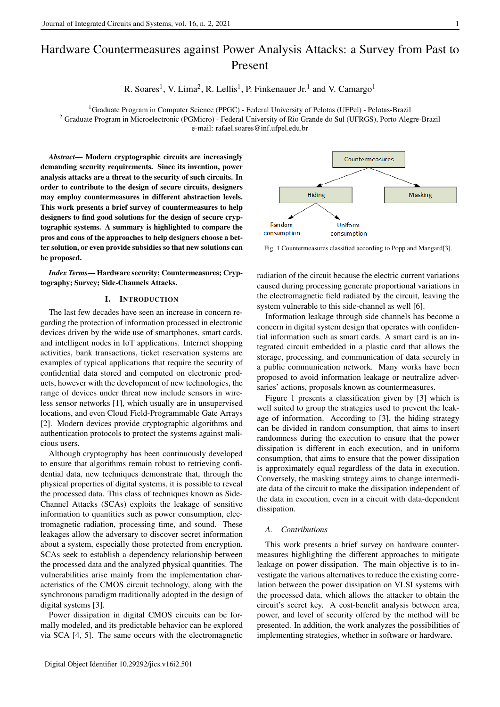# Hardware Countermeasures against Power Analysis Attacks: a Survey from Past to Present

R. Soares<sup>1</sup>, V. Lima<sup>2</sup>, R. Lellis<sup>1</sup>, P. Finkenauer Jr.<sup>1</sup> and V. Camargo<sup>1</sup>

<sup>1</sup>Graduate Program in Computer Science (PPGC) - Federal University of Pelotas (UFPel) - Pelotas-Brazil <sup>2</sup> Graduate Program in Microelectronic (PGMicro) - Federal University of Rio Grande do Sul (UFRGS), Porto Alegre-Brazil e-mail: rafael.soares@inf.ufpel.edu.br

*Abstract*— Modern cryptographic circuits are increasingly demanding security requirements. Since its invention, power analysis attacks are a threat to the security of such circuits. In order to contribute to the design of secure circuits, designers may employ countermeasures in different abstraction levels. This work presents a brief survey of countermeasures to help designers to find good solutions for the design of secure cryptographic systems. A summary is highlighted to compare the pros and cons of the approaches to help designers choose a better solution, or even provide subsidies so that new solutions can be proposed.

*Index Terms*— Hardware security; Countermeasures; Cryptography; Survey; Side-Channels Attacks.

# I. INTRODUCTION

The last few decades have seen an increase in concern regarding the protection of information processed in electronic devices driven by the wide use of smartphones, smart cards, and intelligent nodes in IoT applications. Internet shopping activities, bank transactions, ticket reservation systems are examples of typical applications that require the security of confidential data stored and computed on electronic products, however with the development of new technologies, the range of devices under threat now include sensors in wireless sensor networks [1], which usually are in unsupervised locations, and even Cloud Field-Programmable Gate Arrays [2]. Modern devices provide cryptographic algorithms and authentication protocols to protect the systems against malicious users.

Although cryptography has been continuously developed to ensure that algorithms remain robust to retrieving confidential data, new techniques demonstrate that, through the physical properties of digital systems, it is possible to reveal the processed data. This class of techniques known as Side-Channel Attacks (SCAs) exploits the leakage of sensitive information to quantities such as power consumption, electromagnetic radiation, processing time, and sound. These leakages allow the adversary to discover secret information about a system, especially those protected from encryption. SCAs seek to establish a dependency relationship between the processed data and the analyzed physical quantities. The vulnerabilities arise mainly from the implementation characteristics of the CMOS circuit technology, along with the synchronous paradigm traditionally adopted in the design of digital systems [3].

Power dissipation in digital CMOS circuits can be formally modeled, and its predictable behavior can be explored via SCA [4, 5]. The same occurs with the electromagnetic



Fig. 1 Countermeasures classified according to Popp and Mangard[3].

radiation of the circuit because the electric current variations caused during processing generate proportional variations in the electromagnetic field radiated by the circuit, leaving the system vulnerable to this side-channel as well [6].

Information leakage through side channels has become a concern in digital system design that operates with confidential information such as smart cards. A smart card is an integrated circuit embedded in a plastic card that allows the storage, processing, and communication of data securely in a public communication network. Many works have been proposed to avoid information leakage or neutralize adversaries' actions, proposals known as countermeasures.

Figure 1 presents a classification given by [3] which is well suited to group the strategies used to prevent the leakage of information. According to [3], the hiding strategy can be divided in random consumption, that aims to insert randomness during the execution to ensure that the power dissipation is different in each execution, and in uniform consumption, that aims to ensure that the power dissipation is approximately equal regardless of the data in execution. Conversely, the masking strategy aims to change intermediate data of the circuit to make the dissipation independent of the data in execution, even in a circuit with data-dependent dissipation.

## *A. Contributions*

This work presents a brief survey on hardware countermeasures highlighting the different approaches to mitigate leakage on power dissipation. The main objective is to investigate the various alternatives to reduce the existing correlation between the power dissipation on VLSI systems with the processed data, which allows the attacker to obtain the circuit's secret key. A cost-benefit analysis between area, power, and level of security offered by the method will be presented. In addition, the work analyzes the possibilities of implementing strategies, whether in software or hardware.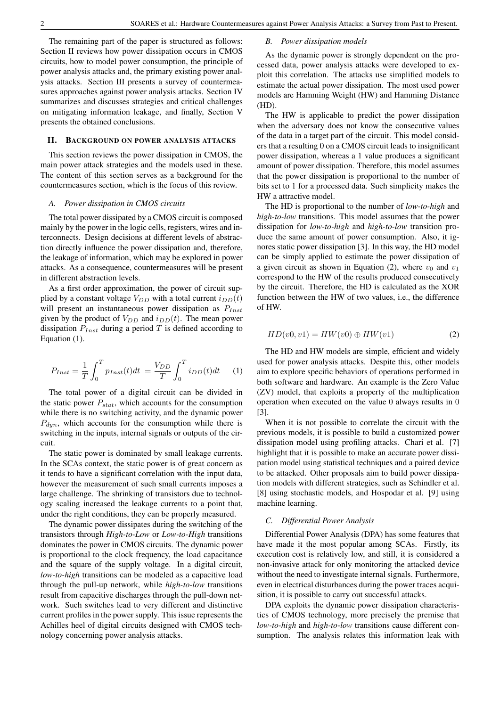The remaining part of the paper is structured as follows: Section II reviews how power dissipation occurs in CMOS circuits, how to model power consumption, the principle of power analysis attacks and, the primary existing power analysis attacks. Section III presents a survey of countermeasures approaches against power analysis attacks. Section IV summarizes and discusses strategies and critical challenges on mitigating information leakage, and finally, Section V presents the obtained conclusions.

#### II. BACKGROUND ON POWER ANALYSIS ATTACKS

This section reviews the power dissipation in CMOS, the main power attack strategies and the models used in these. The content of this section serves as a background for the countermeasures section, which is the focus of this review.

## *A. Power dissipation in CMOS circuits*

The total power dissipated by a CMOS circuit is composed mainly by the power in the logic cells, registers, wires and interconnects. Design decisions at different levels of abstraction directly influence the power dissipation and, therefore, the leakage of information, which may be explored in power attacks. As a consequence, countermeasures will be present in different abstraction levels.

As a first order approximation, the power of circuit supplied by a constant voltage  $V_{DD}$  with a total current  $i_{DD}(t)$ will present an instantaneous power dissipation as  $P_{Inst}$ given by the product of  $V_{DD}$  and  $i_{DD}(t)$ . The mean power dissipation  $P_{Inst}$  during a period T is defined according to Equation (1).

$$
P_{Inst} = \frac{1}{T} \int_0^T p_{Inst}(t)dt = \frac{V_{DD}}{T} \int_0^T i_{DD}(t)dt \qquad (1)
$$

The total power of a digital circuit can be divided in the static power  $P_{stat}$ , which accounts for the consumption while there is no switching activity, and the dynamic power  $P_{dyn}$ , which accounts for the consumption while there is switching in the inputs, internal signals or outputs of the circuit.

The static power is dominated by small leakage currents. In the SCAs context, the static power is of great concern as it tends to have a significant correlation with the input data, however the measurement of such small currents imposes a large challenge. The shrinking of transistors due to technology scaling increased the leakage currents to a point that, under the right conditions, they can be properly measured.

The dynamic power dissipates during the switching of the transistors through *High-to-Low* or *Low-to-High* transitions dominates the power in CMOS circuits. The dynamic power is proportional to the clock frequency, the load capacitance and the square of the supply voltage. In a digital circuit, *low-to-high* transitions can be modeled as a capacitive load through the pull-up network, while *high-to-low* transitions result from capacitive discharges through the pull-down network. Such switches lead to very different and distinctive current profiles in the power supply. This issue represents the Achilles heel of digital circuits designed with CMOS technology concerning power analysis attacks.

## *B. Power dissipation models*

As the dynamic power is strongly dependent on the processed data, power analysis attacks were developed to exploit this correlation. The attacks use simplified models to estimate the actual power dissipation. The most used power models are Hamming Weight (HW) and Hamming Distance (HD).

The HW is applicable to predict the power dissipation when the adversary does not know the consecutive values of the data in a target part of the circuit. This model considers that a resulting 0 on a CMOS circuit leads to insignificant power dissipation, whereas a 1 value produces a significant amount of power dissipation. Therefore, this model assumes that the power dissipation is proportional to the number of bits set to 1 for a processed data. Such simplicity makes the HW a attractive model.

The HD is proportional to the number of *low-to-high* and *high-to-low* transitions. This model assumes that the power dissipation for *low-to-high* and *high-to-low* transition produce the same amount of power consumption. Also, it ignores static power dissipation [3]. In this way, the HD model can be simply applied to estimate the power dissipation of a given circuit as shown in Equation (2), where  $v_0$  and  $v_1$ correspond to the HW of the results produced consecutively by the circuit. Therefore, the HD is calculated as the XOR function between the HW of two values, i.e., the difference of HW.

$$
HD(v0, v1) = HW(v0) \oplus HW(v1)
$$
 (2)

The HD and HW models are simple, efficient and widely used for power analysis attacks. Despite this, other models aim to explore specific behaviors of operations performed in both software and hardware. An example is the Zero Value (ZV) model, that exploits a property of the multiplication operation when executed on the value 0 always results in 0 [3].

When it is not possible to correlate the circuit with the previous models, it is possible to build a customized power dissipation model using profiling attacks. Chari et al. [7] highlight that it is possible to make an accurate power dissipation model using statistical techniques and a paired device to be attacked. Other proposals aim to build power dissipation models with different strategies, such as Schindler et al. [8] using stochastic models, and Hospodar et al. [9] using machine learning.

# *C. Differential Power Analysis*

Differential Power Analysis (DPA) has some features that have made it the most popular among SCAs. Firstly, its execution cost is relatively low, and still, it is considered a non-invasive attack for only monitoring the attacked device without the need to investigate internal signals. Furthermore, even in electrical disturbances during the power traces acquisition, it is possible to carry out successful attacks.

DPA exploits the dynamic power dissipation characteristics of CMOS technology, more precisely the premise that *low-to-high* and *high-to-low* transitions cause different consumption. The analysis relates this information leak with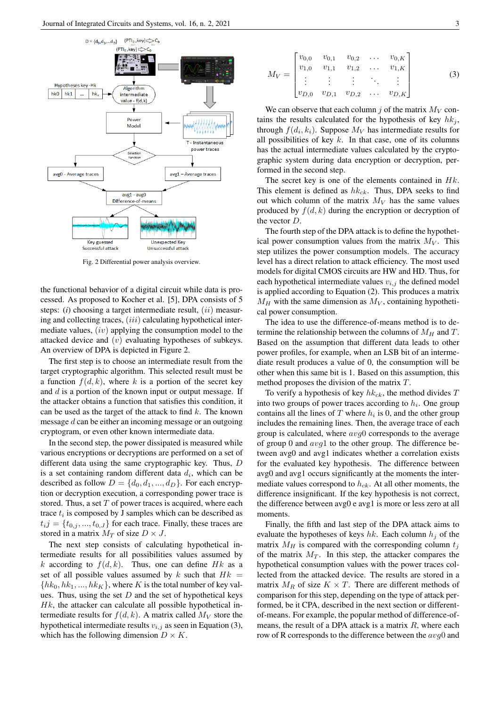

Fig. 2 Differential power analysis overview.

the functional behavior of a digital circuit while data is processed. As proposed to Kocher et al. [5], DPA consists of 5 steps: (*i*) choosing a target intermediate result, (*ii*) measuring and collecting traces,  $(iii)$  calculating hypothetical intermediate values, (iv) applying the consumption model to the attacked device and  $(v)$  evaluating hypotheses of subkeys. An overview of DPA is depicted in Figure 2.

The first step is to choose an intermediate result from the target cryptographic algorithm. This selected result must be a function  $f(d, k)$ , where k is a portion of the secret key and  $d$  is a portion of the known input or output message. If the attacker obtains a function that satisfies this condition, it can be used as the target of the attack to find  $k$ . The known message  $d$  can be either an incoming message or an outgoing cryptogram, or even other known intermediate data.

In the second step, the power dissipated is measured while various encryptions or decryptions are performed on a set of different data using the same cryptographic key. Thus, D is a set containing random different data  $d_i$ , which can be described as follow  $D = \{d_0, d_1, ..., d_D\}$ . For each encryption or decryption execution, a corresponding power trace is stored. Thus, a set  $T$  of power traces is acquired, where each trace  $t_i$  is composed by J samples which can be described as  $t_{i,j} = \{t_{0,j}, ..., t_{0,J}\}$  for each trace. Finally, these traces are stored in a matrix  $M_T$  of size  $D \times J$ .

The next step consists of calculating hypothetical intermediate results for all possibilities values assumed by k according to  $f(d, k)$ . Thus, one can define Hk as a set of all possible values assumed by k such that  $Hk =$  $\{hk_0, hk_1, ..., hk_K\}$ , where K is the total number of key values. Thus, using the set  $D$  and the set of hypothetical keys  $Hk$ , the attacker can calculate all possible hypothetical intermediate results for  $f(d, k)$ . A matrix called  $M_V$  store the hypothetical intermediate results  $v_{i,j}$  as seen in Equation (3), which has the following dimension  $D \times K$ .

$$
M_V = \begin{bmatrix} v_{0,0} & v_{0,1} & v_{0,2} & \dots & v_{0,K} \\ v_{1,0} & v_{1,1} & v_{1,2} & \dots & v_{1,K} \\ \vdots & \vdots & \vdots & \ddots & \vdots \\ v_{D,0} & v_{D,1} & v_{D,2} & \dots & v_{D,K} \end{bmatrix}
$$
 (3)

We can observe that each column j of the matrix  $M_V$  contains the results calculated for the hypothesis of key  $hk_i$ , through  $f(d_i, k_i)$ . Suppose  $M_V$  has intermediate results for all possibilities of key  $k$ . In that case, one of its columns has the actual intermediate values calculated by the cryptographic system during data encryption or decryption, performed in the second step.

The secret key is one of the elements contained in  $Hk$ . This element is defined as  $hk_{ck}$ . Thus, DPA seeks to find out which column of the matrix  $M_V$  has the same values produced by  $f(d, k)$  during the encryption or decryption of the vector D.

The fourth step of the DPA attack is to define the hypothetical power consumption values from the matrix  $M_V$ . This step utilizes the power consumption models. The accuracy level has a direct relation to attack efficiency. The most used models for digital CMOS circuits are HW and HD. Thus, for each hypothetical intermediate values  $v_{i,j}$  the defined model is applied according to Equation (2). This produces a matrix  $M_H$  with the same dimension as  $M_V$ , containing hypothetical power consumption.

The idea to use the difference-of-means method is to determine the relationship between the columns of  $M_H$  and T. Based on the assumption that different data leads to other power profiles, for example, when an LSB bit of an intermediate result produces a value of 0, the consumption will be other when this same bit is 1. Based on this assumption, this method proposes the division of the matrix T.

To verify a hypothesis of key  $hk_{ck}$ , the method divides T into two groups of power traces according to  $h_i$ . One group contains all the lines of  $T$  where  $h_i$  is 0, and the other group includes the remaining lines. Then, the average trace of each group is calculated, where  $avg0$  corresponds to the average of group 0 and  $avg1$  to the other group. The difference between avg0 and avg1 indicates whether a correlation exists for the evaluated key hypothesis. The difference between avg0 and avg1 occurs significantly at the moments the intermediate values correspond to  $h_{ck}$ . At all other moments, the difference insignificant. If the key hypothesis is not correct, the difference between avg0 e avg1 is more or less zero at all moments.

Finally, the fifth and last step of the DPA attack aims to evaluate the hypotheses of keys hk. Each column  $h_i$  of the matrix  $M_H$  is compared with the corresponding column  $t_i$ of the matrix  $M_T$ . In this step, the attacker compares the hypothetical consumption values with the power traces collected from the attacked device. The results are stored in a matrix  $M_R$  of size  $K \times T$ . There are different methods of comparison for this step, depending on the type of attack performed, be it CPA, described in the next section or differentof-means. For example, the popular method of difference-ofmeans, the result of a DPA attack is a matrix  $R$ , where each row of R corresponds to the difference between the avg0 and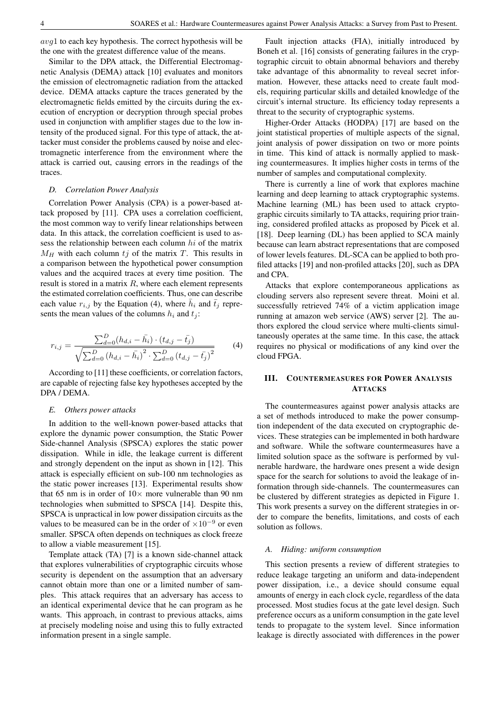avg1 to each key hypothesis. The correct hypothesis will be the one with the greatest difference value of the means.

Similar to the DPA attack, the Differential Electromagnetic Analysis (DEMA) attack [10] evaluates and monitors the emission of electromagnetic radiation from the attacked device. DEMA attacks capture the traces generated by the electromagnetic fields emitted by the circuits during the execution of encryption or decryption through special probes used in conjunction with amplifier stages due to the low intensity of the produced signal. For this type of attack, the attacker must consider the problems caused by noise and electromagnetic interference from the environment where the attack is carried out, causing errors in the readings of the traces.

#### *D. Correlation Power Analysis*

Correlation Power Analysis (CPA) is a power-based attack proposed by [11]. CPA uses a correlation coefficient, the most common way to verify linear relationships between data. In this attack, the correlation coefficient is used to assess the relationship between each column hi of the matrix  $M_H$  with each column tj of the matrix T. This results in a comparison between the hypothetical power consumption values and the acquired traces at every time position. The result is stored in a matrix  $R$ , where each element represents the estimated correlation coefficients. Thus, one can describe each value  $r_{i,j}$  by the Equation (4), where  $\bar{h}_i$  and  $\bar{t}_j$  represents the mean values of the columns  $h_i$  and  $t_j$ :

$$
r_{i,j} = \frac{\sum_{d=0}^{D} (h_{d,i} - \bar{h}_i) \cdot (t_{d,j} - \bar{t}_j)}{\sqrt{\sum_{d=0}^{D} (h_{d,i} - \bar{h}_i)^2 \cdot \sum_{d=0}^{D} (t_{d,j} - \bar{t}_j)^2}}
$$
(4)

According to [11] these coefficients, or correlation factors, are capable of rejecting false key hypotheses accepted by the DPA / DEMA.

# *E. Others power attacks*

In addition to the well-known power-based attacks that explore the dynamic power consumption, the Static Power Side-channel Analysis (SPSCA) explores the static power dissipation. While in idle, the leakage current is different and strongly dependent on the input as shown in [12]. This attack is especially efficient on sub-100 nm technologies as the static power increases [13]. Experimental results show that 65 nm is in order of  $10\times$  more vulnerable than 90 nm technologies when submitted to SPSCA [14]. Despite this, SPSCA is unpractical in low power dissipation circuits as the values to be measured can be in the order of  $\times 10^{-9}$  or even smaller. SPSCA often depends on techniques as clock freeze to allow a viable measurement [15].

Template attack (TA) [7] is a known side-channel attack that explores vulnerabilities of cryptographic circuits whose security is dependent on the assumption that an adversary cannot obtain more than one or a limited number of samples. This attack requires that an adversary has access to an identical experimental device that he can program as he wants. This approach, in contrast to previous attacks, aims at precisely modeling noise and using this to fully extracted information present in a single sample.

Fault injection attacks (FIA), initially introduced by Boneh et al. [16] consists of generating failures in the cryptographic circuit to obtain abnormal behaviors and thereby take advantage of this abnormality to reveal secret information. However, these attacks need to create fault models, requiring particular skills and detailed knowledge of the circuit's internal structure. Its efficiency today represents a threat to the security of cryptographic systems.

Higher-Order Attacks (HODPA) [17] are based on the joint statistical properties of multiple aspects of the signal, joint analysis of power dissipation on two or more points in time. This kind of attack is normally applied to masking countermeasures. It implies higher costs in terms of the number of samples and computational complexity.

There is currently a line of work that explores machine learning and deep learning to attack cryptographic systems. Machine learning (ML) has been used to attack cryptographic circuits similarly to TA attacks, requiring prior training, considered profiled attacks as proposed by Picek et al. [18]. Deep learning (DL) has been applied to SCA mainly because can learn abstract representations that are composed of lower levels features. DL-SCA can be applied to both profiled attacks [19] and non-profiled attacks [20], such as DPA and CPA.

Attacks that explore contemporaneous applications as clouding servers also represent severe threat. Moini et al. successfully retrieved 74% of a victim application image running at amazon web service (AWS) server [2]. The authors explored the cloud service where multi-clients simultaneously operates at the same time. In this case, the attack requires no physical or modifications of any kind over the cloud FPGA.

# III. COUNTERMEASURES FOR POWER ANALYSIS ATTACKS

The countermeasures against power analysis attacks are a set of methods introduced to make the power consumption independent of the data executed on cryptographic devices. These strategies can be implemented in both hardware and software. While the software countermeasures have a limited solution space as the software is performed by vulnerable hardware, the hardware ones present a wide design space for the search for solutions to avoid the leakage of information through side-channels. The countermeasures can be clustered by different strategies as depicted in Figure 1. This work presents a survey on the different strategies in order to compare the benefits, limitations, and costs of each solution as follows.

# *A. Hiding: uniform consumption*

This section presents a review of different strategies to reduce leakage targeting an uniform and data-independent power dissipation, i.e., a device should consume equal amounts of energy in each clock cycle, regardless of the data processed. Most studies focus at the gate level design. Such preference occurs as a uniform consumption in the gate level tends to propagate to the system level. Since information leakage is directly associated with differences in the power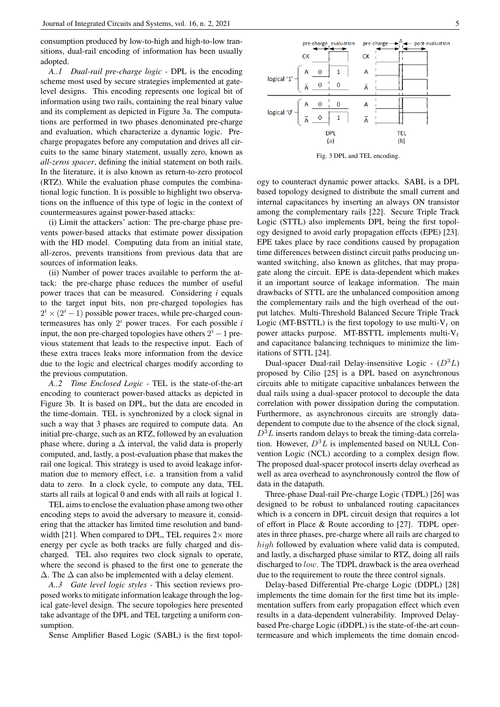consumption produced by low-to-high and high-to-low transitions, dual-rail encoding of information has been usually adopted.

*A..1 Dual-rail pre-charge logic -* DPL is the encoding scheme most used by secure strategies implemented at gatelevel designs. This encoding represents one logical bit of information using two rails, containing the real binary value and its complement as depicted in Figure 3a. The computations are performed in two phases denominated pre-charge and evaluation, which characterize a dynamic logic. Precharge propagates before any computation and drives all circuits to the same binary statement, usually zero, known as *all-zeros spacer*, defining the initial statement on both rails. In the literature, it is also known as return-to-zero protocol (RTZ). While the evaluation phase computes the combinational logic function. It is possible to highlight two observations on the influence of this type of logic in the context of countermeasures against power-based attacks:

(i) Limit the attackers' action: The pre-charge phase prevents power-based attacks that estimate power dissipation with the HD model. Computing data from an initial state, all-zeros, prevents transitions from previous data that are sources of information leaks.

(ii) Number of power traces available to perform the attack: the pre-charge phase reduces the number of useful power traces that can be measured. Considering *i* equals to the target input bits, non pre-charged topologies has  $2^{i} \times (2^{i} - 1)$  possible power traces, while pre-charged countermeasures has only  $2^i$  power traces. For each possible  $i$ input, the non pre-charged topologies have others  $2^i - 1$  previous statement that leads to the respective input. Each of these extra traces leaks more information from the device due to the logic and electrical charges modify according to the previous computation.

*A..2 Time Enclosed Logic -* TEL is the state-of-the-art encoding to counteract power-based attacks as depicted in Figure 3b. It is based on DPL, but the data are encoded in the time-domain. TEL is synchronized by a clock signal in such a way that 3 phases are required to compute data. An initial pre-charge, such as an RTZ, followed by an evaluation phase where, during a  $\Delta$  interval, the valid data is properly computed, and, lastly, a post-evaluation phase that makes the rail one logical. This strategy is used to avoid leakage information due to memory effect, i.e. a transition from a valid data to zero. In a clock cycle, to compute any data, TEL starts all rails at logical 0 and ends with all rails at logical 1.

TEL aims to enclose the evaluation phase among two other encoding steps to avoid the adversary to measure it, considering that the attacker has limited time resolution and bandwidth [21]. When compared to DPL, TEL requires  $2\times$  more energy per cycle as both tracks are fully charged and discharged. TEL also requires two clock signals to operate, where the second is phased to the first one to generate the  $\Delta$ . The  $\Delta$  can also be implemented with a delay element.

*A..3 Gate level logic styles -* This section reviews proposed works to mitigate information leakage through the logical gate-level design. The secure topologies here presented take advantage of the DPL and TEL targeting a uniform consumption.

Sense Amplifier Based Logic (SABL) is the first topol-



Fig. 3 DPL and TEL encoding.

ogy to counteract dynamic power attacks. SABL is a DPL based topology designed to distribute the small current and internal capacitances by inserting an always ON transistor among the complementary rails [22]. Secure Triple Track Logic (STTL) also implements DPL being the first topology designed to avoid early propagation effects (EPE) [23]. EPE takes place by race conditions caused by propagation time differences between distinct circuit paths producing unwanted switching, also known as glitches, that may propagate along the circuit. EPE is data-dependent which makes it an important source of leakage information. The main drawbacks of STTL are the unbalanced composition among the complementary rails and the high overhead of the output latches. Multi-Threshold Balanced Secure Triple Track Logic (MT-BSTTL) is the first topology to use multi- $V_t$  on power attacks purpose. MT-BSTTL implements multi- $V_t$ and capacitance balancing techniques to minimize the limitations of STTL [24].

Dual-spacer Dual-rail Delay-insensitive Logic -  $(D^3L)$ proposed by Cilio [25] is a DPL based on asynchronous circuits able to mitigate capacitive unbalances between the dual rails using a dual-spacer protocol to decouple the data correlation with power dissipation during the computation. Furthermore, as asynchronous circuits are strongly datadependent to compute due to the absence of the clock signal,  $D<sup>3</sup>L$  inserts random delays to break the timing-data correlation. However,  $D^3L$  is implemented based on NULL Convention Logic (NCL) according to a complex design flow. The proposed dual-spacer protocol inserts delay overhead as well as area overhead to asynchronously control the flow of data in the datapath.

Three-phase Dual-rail Pre-charge Logic (TDPL) [26] was designed to be robust to unbalanced routing capacitances which is a concern in DPL circuit design that requires a lot of effort in Place & Route according to [27]. TDPL operates in three phases, pre-charge where all rails are charged to high followed by evaluation where valid data is computed, and lastly, a discharged phase similar to RTZ, doing all rails discharged to low. The TDPL drawback is the area overhead due to the requirement to route the three control signals.

Delay-based Differential Pre-charge Logic (DDPL) [28] implements the time domain for the first time but its implementation suffers from early propagation effect which even results in a data-dependent vulnerability. Improved Delaybased Pre-charge Logic (iDDPL) is the state-of-the-art countermeasure and which implements the time domain encod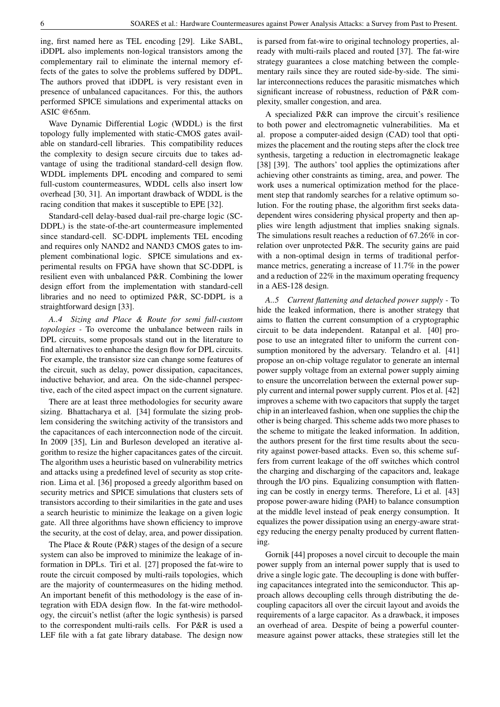ing, first named here as TEL encoding [29]. Like SABL, iDDPL also implements non-logical transistors among the complementary rail to eliminate the internal memory effects of the gates to solve the problems suffered by DDPL. The authors proved that iDDPL is very resistant even in presence of unbalanced capacitances. For this, the authors performed SPICE simulations and experimental attacks on ASIC @65nm.

Wave Dynamic Differential Logic (WDDL) is the first topology fully implemented with static-CMOS gates available on standard-cell libraries. This compatibility reduces the complexity to design secure circuits due to takes advantage of using the traditional standard-cell design flow. WDDL implements DPL encoding and compared to semi full-custom countermeasures, WDDL cells also insert low overhead [30, 31]. An important drawback of WDDL is the racing condition that makes it susceptible to EPE [32].

Standard-cell delay-based dual-rail pre-charge logic (SC-DDPL) is the state-of-the-art countermeasure implemented since standard-cell. SC-DDPL implements TEL encoding and requires only NAND2 and NAND3 CMOS gates to implement combinational logic. SPICE simulations and experimental results on FPGA have shown that SC-DDPL is resilient even with unbalanced P&R. Combining the lower design effort from the implementation with standard-cell libraries and no need to optimized P&R, SC-DDPL is a straightforward design [33].

*A..4 Sizing and Place & Route for semi full-custom topologies -* To overcome the unbalance between rails in DPL circuits, some proposals stand out in the literature to find alternatives to enhance the design flow for DPL circuits. For example, the transistor size can change some features of the circuit, such as delay, power dissipation, capacitances, inductive behavior, and area. On the side-channel perspective, each of the cited aspect impact on the current signature.

There are at least three methodologies for security aware sizing. Bhattacharya et al. [34] formulate the sizing problem considering the switching activity of the transistors and the capacitances of each interconnection node of the circuit. In 2009 [35], Lin and Burleson developed an iterative algorithm to resize the higher capacitances gates of the circuit. The algorithm uses a heuristic based on vulnerability metrics and attacks using a predefined level of security as stop criterion. Lima et al. [36] proposed a greedy algorithm based on security metrics and SPICE simulations that clusters sets of transistors according to their similarities in the gate and uses a search heuristic to minimize the leakage on a given logic gate. All three algorithms have shown efficiency to improve the security, at the cost of delay, area, and power dissipation.

The Place & Route (P&R) stages of the design of a secure system can also be improved to minimize the leakage of information in DPLs. Tiri et al. [27] proposed the fat-wire to route the circuit composed by multi-rails topologies, which are the majority of countermeasures on the hiding method. An important benefit of this methodology is the ease of integration with EDA design flow. In the fat-wire methodology, the circuit's netlist (after the logic synthesis) is parsed to the correspondent multi-rails cells. For P&R is used a LEF file with a fat gate library database. The design now is parsed from fat-wire to original technology properties, already with multi-rails placed and routed [37]. The fat-wire strategy guarantees a close matching between the complementary rails since they are routed side-by-side. The similar interconnections reduces the parasitic mismatches which significant increase of robustness, reduction of P&R complexity, smaller congestion, and area.

A specialized P&R can improve the circuit's resilience to both power and electromagnetic vulnerabilities. Ma et al. propose a computer-aided design (CAD) tool that optimizes the placement and the routing steps after the clock tree synthesis, targeting a reduction in electromagnetic leakage [38] [39]. The authors' tool applies the optimizations after achieving other constraints as timing, area, and power. The work uses a numerical optimization method for the placement step that randomly searches for a relative optimum solution. For the routing phase, the algorithm first seeks datadependent wires considering physical property and then applies wire length adjustment that implies snaking signals. The simulations result reaches a reduction of 67.26% in correlation over unprotected P&R. The security gains are paid with a non-optimal design in terms of traditional performance metrics, generating a increase of 11.7% in the power and a reduction of 22% in the maximum operating frequency in a AES-128 design.

*A..5 Current flattening and detached power supply -* To hide the leaked information, there is another strategy that aims to flatten the current consumption of a cryptographic circuit to be data independent. Ratanpal et al. [40] propose to use an integrated filter to uniform the current consumption monitored by the adversary. Telandro et al. [41] propose an on-chip voltage regulator to generate an internal power supply voltage from an external power supply aiming to ensure the uncorrelation between the external power supply current and internal power supply current. Plos et al. [42] improves a scheme with two capacitors that supply the target chip in an interleaved fashion, when one supplies the chip the other is being charged. This scheme adds two more phases to the scheme to mitigate the leaked information. In addition, the authors present for the first time results about the security against power-based attacks. Even so, this scheme suffers from current leakage of the off switches which control the charging and discharging of the capacitors and, leakage through the I/O pins. Equalizing consumption with flattening can be costly in energy terms. Therefore, Li et al. [43] propose power-aware hiding (PAH) to balance consumption at the middle level instead of peak energy consumption. It equalizes the power dissipation using an energy-aware strategy reducing the energy penalty produced by current flattening.

Gornik [44] proposes a novel circuit to decouple the main power supply from an internal power supply that is used to drive a single logic gate. The decoupling is done with buffering capacitances integrated into the semiconductor. This approach allows decoupling cells through distributing the decoupling capacitors all over the circuit layout and avoids the requirements of a large capacitor. As a drawback, it imposes an overhead of area. Despite of being a powerful countermeasure against power attacks, these strategies still let the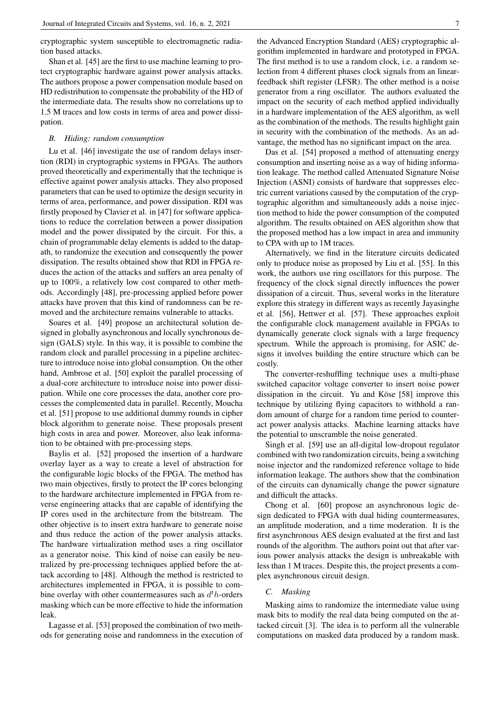cryptographic system susceptible to electromagnetic radiation based attacks.

Shan et al. [45] are the first to use machine learning to protect cryptographic hardware against power analysis attacks. The authors propose a power compensation module based on HD redistribution to compensate the probability of the HD of the intermediate data. The results show no correlations up to 1.5 M traces and low costs in terms of area and power dissipation.

#### *B. Hiding: random consumption*

Lu et al. [46] investigate the use of random delays insertion (RDI) in cryptographic systems in FPGAs. The authors proved theoretically and experimentally that the technique is effective against power analysis attacks. They also proposed parameters that can be used to optimize the design security in terms of area, performance, and power dissipation. RDI was firstly proposed by Clavier et al. in [47] for software applications to reduce the correlation between a power dissipation model and the power dissipated by the circuit. For this, a chain of programmable delay elements is added to the datapath, to randomize the execution and consequently the power dissipation. The results obtained show that RDI in FPGA reduces the action of the attacks and suffers an area penalty of up to 100%, a relatively low cost compared to other methods. Accordingly [48], pre-processing applied before power attacks have proven that this kind of randomness can be removed and the architecture remains vulnerable to attacks.

Soares et al. [49] propose an architectural solution designed in globally asynchronous and locally synchronous design (GALS) style. In this way, it is possible to combine the random clock and parallel processing in a pipeline architecture to introduce noise into global consumption. On the other hand, Ambrose et al. [50] exploit the parallel processing of a dual-core architecture to introduce noise into power dissipation. While one core processes the data, another core processes the complemented data in parallel. Recently, Moucha et al. [51] propose to use additional dummy rounds in cipher block algorithm to generate noise. These proposals present high costs in area and power. Moreover, also leak information to be obtained with pre-processing steps.

Baylis et al. [52] proposed the insertion of a hardware overlay layer as a way to create a level of abstraction for the configurable logic blocks of the FPGA. The method has two main objectives, firstly to protect the IP cores belonging to the hardware architecture implemented in FPGA from reverse engineering attacks that are capable of identifying the IP cores used in the architecture from the bitstream. The other objective is to insert extra hardware to generate noise and thus reduce the action of the power analysis attacks. The hardware virtualization method uses a ring oscillator as a generator noise. This kind of noise can easily be neutralized by pre-processing techniques applied before the attack according to [48]. Although the method is restricted to architectures implemented in FPGA, it is possible to combine overlay with other countermeasures such as  $d^th$ -orders masking which can be more effective to hide the information leak.

Lagasse et al. [53] proposed the combination of two methods for generating noise and randomness in the execution of

Das et al. [54] proposed a method of attenuating energy consumption and inserting noise as a way of hiding information leakage. The method called Attenuated Signature Noise Injection (ASNI) consists of hardware that suppresses electric current variations caused by the computation of the cryptographic algorithm and simultaneously adds a noise injection method to hide the power consumption of the computed algorithm. The results obtained on AES algorithm show that the proposed method has a low impact in area and immunity to CPA with up to 1M traces.

Alternatively, we find in the literature circuits dedicated only to produce noise as proposed by Liu et al. [55]. In this work, the authors use ring oscillators for this purpose. The frequency of the clock signal directly influences the power dissipation of a circuit. Thus, several works in the literature explore this strategy in different ways as recently Jayasinghe et al. [56], Hettwer et al. [57]. These approaches exploit the configurable clock management available in FPGAs to dynamically generate clock signals with a large frequency spectrum. While the approach is promising, for ASIC designs it involves building the entire structure which can be costly.

The converter-reshuffling technique uses a multi-phase switched capacitor voltage converter to insert noise power dissipation in the circuit. Yu and Köse [58] improve this technique by utilizing flying capacitors to withhold a random amount of charge for a random time period to counteract power analysis attacks. Machine learning attacks have the potential to unscramble the noise generated.

Singh et al. [59] use an all-digital low-dropout regulator combined with two randomization circuits, being a switching noise injector and the randomized reference voltage to hide information leakage. The authors show that the combination of the circuits can dynamically change the power signature and difficult the attacks.

Chong et al. [60] propose an asynchronous logic design dedicated to FPGA with dual hiding countermeasures, an amplitude moderation, and a time moderation. It is the first asynchronous AES design evaluated at the first and last rounds of the algorithm. The authors point out that after various power analysis attacks the design is unbreakable with less than 1 M traces. Despite this, the project presents a complex asynchronous circuit design.

# *C. Masking*

Masking aims to randomize the intermediate value using mask bits to modify the real data being computed on the attacked circuit [3]. The idea is to perform all the vulnerable computations on masked data produced by a random mask.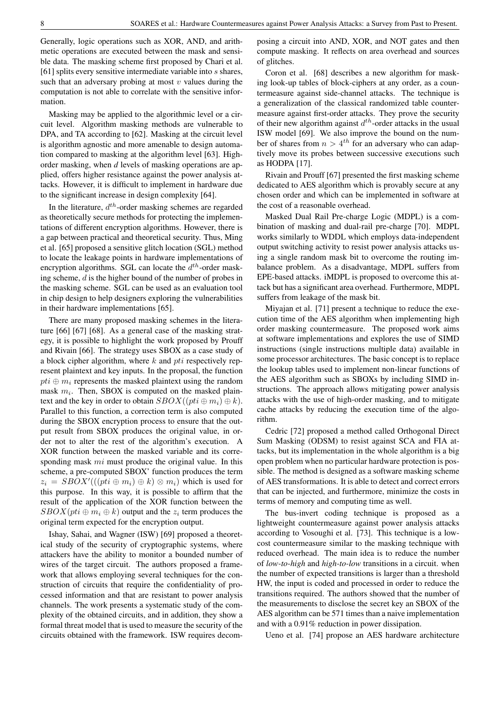Generally, logic operations such as XOR, AND, and arithmetic operations are executed between the mask and sensible data. The masking scheme first proposed by Chari et al. [61] splits every sensitive intermediate variable into s shares, such that an adversary probing at most  $v$  values during the computation is not able to correlate with the sensitive information.

Masking may be applied to the algorithmic level or a circuit level. Algorithm masking methods are vulnerable to DPA, and TA according to [62]. Masking at the circuit level is algorithm agnostic and more amenable to design automation compared to masking at the algorithm level [63]. Highorder masking, when *d* levels of masking operations are applied, offers higher resistance against the power analysis attacks. However, it is difficult to implement in hardware due to the significant increase in design complexity [64].

In the literature,  $d^{th}$ -order masking schemes are regarded as theoretically secure methods for protecting the implementations of different encryption algorithms. However, there is a gap between practical and theoretical security. Thus, Ming et al. [65] proposed a sensitive glitch location (SGL) method to locate the leakage points in hardware implementations of encryption algorithms. SGL can locate the  $d^{th}$ -order masking scheme, d is the higher bound of the number of probes in the masking scheme. SGL can be used as an evaluation tool in chip design to help designers exploring the vulnerabilities in their hardware implementations [65].

There are many proposed masking schemes in the literature [66] [67] [68]. As a general case of the masking strategy, it is possible to highlight the work proposed by Prouff and Rivain [66]. The strategy uses SBOX as a case study of a block cipher algorithm, where  $k$  and  $pti$  respectively represent plaintext and key inputs. In the proposal, the function  $pti \oplus m_i$  represents the masked plaintext using the random mask  $m_i$ . Then, SBOX is computed on the masked plaintext and the key in order to obtain  $SBOX((pti \oplus m_i) \oplus k)$ . Parallel to this function, a correction term is also computed during the SBOX encryption process to ensure that the output result from SBOX produces the original value, in order not to alter the rest of the algorithm's execution. A XOR function between the masked variable and its corresponding mask *mi* must produce the original value. In this scheme, a pre-computed SBOX' function produces the term  $z_i = SBOX'(((pti \oplus m_i) \oplus k) \otimes m_i)$  which is used for this purpose. In this way, it is possible to affirm that the result of the application of the XOR function between the  $SBOX(pti \oplus m_i \oplus k)$  output and the  $z_i$  term produces the original term expected for the encryption output.

Ishay, Sahai, and Wagner (ISW) [69] proposed a theoretical study of the security of cryptographic systems, where attackers have the ability to monitor a bounded number of wires of the target circuit. The authors proposed a framework that allows employing several techniques for the construction of circuits that require the confidentiality of processed information and that are resistant to power analysis channels. The work presents a systematic study of the complexity of the obtained circuits, and in addition, they show a formal threat model that is used to measure the security of the circuits obtained with the framework. ISW requires decomposing a circuit into AND, XOR, and NOT gates and then compute masking. It reflects on area overhead and sources of glitches.

Coron et al. [68] describes a new algorithm for masking look-up tables of block-ciphers at any order, as a countermeasure against side-channel attacks. The technique is a generalization of the classical randomized table countermeasure against first-order attacks. They prove the security of their new algorithm against  $d^{th}$ -order attacks in the usual ISW model [69]. We also improve the bound on the number of shares from  $n > 4<sup>th</sup>$  for an adversary who can adaptively move its probes between successive executions such as HODPA [17].

Rivain and Prouff [67] presented the first masking scheme dedicated to AES algorithm which is provably secure at any chosen order and which can be implemented in software at the cost of a reasonable overhead.

Masked Dual Rail Pre-charge Logic (MDPL) is a combination of masking and dual-rail pre-charge [70]. MDPL works similarly to WDDL which employs data-independent output switching activity to resist power analysis attacks using a single random mask bit to overcome the routing imbalance problem. As a disadvantage, MDPL suffers from EPE-based attacks. iMDPL is proposed to overcome this attack but has a significant area overhead. Furthermore, MDPL suffers from leakage of the mask bit.

Miyajan et al. [71] present a technique to reduce the execution time of the AES algorithm when implementing high order masking countermeasure. The proposed work aims at software implementations and explores the use of SIMD instructions (single instructions multiple data) available in some processor architectures. The basic concept is to replace the lookup tables used to implement non-linear functions of the AES algorithm such as SBOXs by including SIMD instructions. The approach allows mitigating power analysis attacks with the use of high-order masking, and to mitigate cache attacks by reducing the execution time of the algorithm.

Cedric [72] proposed a method called Orthogonal Direct Sum Masking (ODSM) to resist against SCA and FIA attacks, but its implementation in the whole algorithm is a big open problem when no particular hardware protection is possible. The method is designed as a software masking scheme of AES transformations. It is able to detect and correct errors that can be injected, and furthermore, minimize the costs in terms of memory and computing time as well.

The bus-invert coding technique is proposed as a lightweight countermeasure against power analysis attacks according to Vosoughi et al. [73]. This technique is a lowcost countermeasure similar to the masking technique with reduced overhead. The main idea is to reduce the number of *low-to-high* and *high-to-low* transitions in a circuit. when the number of expected transitions is larger than a threshold HW, the input is coded and processed in order to reduce the transitions required. The authors showed that the number of the measurements to disclose the secret key an SBOX of the AES algorithm can be 571 times than a naive implementation and with a 0.91% reduction in power dissipation.

Ueno et al. [74] propose an AES hardware architecture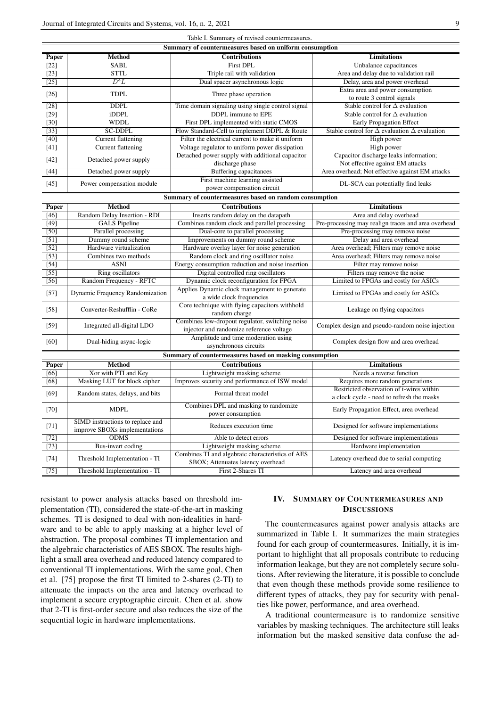| Table I. Summary of revised countermeasures.            |                                                                   |                                                                                             |                                                                                       |
|---------------------------------------------------------|-------------------------------------------------------------------|---------------------------------------------------------------------------------------------|---------------------------------------------------------------------------------------|
| Summary of countermeasures based on uniform consumption |                                                                   |                                                                                             |                                                                                       |
| Paper                                                   | Method                                                            | <b>Contributions</b>                                                                        | <b>Limitations</b>                                                                    |
| $\overline{[22]}$                                       | SABL                                                              | <b>First DPL</b>                                                                            | Unbalance capacitances                                                                |
| $[23]$                                                  | <b>STTL</b>                                                       | Triple rail with validation                                                                 | Area and delay due to validation rail                                                 |
| $[25]$                                                  | $D^3L$                                                            | Dual spacer asynchronous logic                                                              | Delay, area and power overhead                                                        |
| $[26]$                                                  | <b>TDPL</b>                                                       | Three phase operation                                                                       | Extra area and power consumption<br>to route 3 control signals                        |
| $[28]$                                                  | <b>DDPL</b>                                                       | Time domain signaling using single control signal                                           | Stable control for $\Delta$ evaluation                                                |
| $[29]$                                                  | iDDPL                                                             | <b>DDPL</b> immune to EPE                                                                   | Stable control for $\Delta$ evaluation                                                |
| $[30]$                                                  | <b>WDDL</b>                                                       | First DPL implemented with static CMOS                                                      | <b>Early Propagation Effect</b>                                                       |
| $[33]$                                                  | <b>SC-DDPL</b>                                                    | Flow Standard-Cell to implement DDPL & Route                                                | Stable control for $\Delta$ evaluation $\Delta$ evaluation                            |
| $[40]$                                                  | <b>Current flattening</b>                                         | Filter the electrical current to make it uniform                                            | High power                                                                            |
| $[41]$                                                  | <b>Current flattening</b>                                         | Voltage regulator to uniform power dissipation                                              | High power                                                                            |
| [42]                                                    | Detached power supply                                             | Detached power supply with additional capacitor<br>discharge phase                          | Capacitor discharge leaks information;<br>Not effective against EM attacks            |
| $[44]$                                                  | Detached power supply                                             | Buffering capacitances                                                                      | Area overhead; Not effective against EM attacks                                       |
| $[45]$                                                  | Power compensation module                                         | First machine learning assisted<br>power compensation circuit                               | DL-SCA can potentially find leaks                                                     |
| Summary of countermeasures based on random consumption  |                                                                   |                                                                                             |                                                                                       |
| Paper                                                   | <b>Method</b>                                                     | <b>Contributions</b>                                                                        | <b>Limitations</b>                                                                    |
| $[46]$                                                  | Random Delay Insertion - RDI                                      | Inserts random delay on the datapath                                                        | Area and delay overhead                                                               |
| $[49]$                                                  | <b>GALS</b> Pipeline                                              | Combines random clock and parallel processing                                               | Pre-processing may realign traces and area overhead                                   |
| $[50]$                                                  | Parallel processing                                               | Dual-core to parallel processing                                                            | Pre-processing may remove noise                                                       |
| $[51]$                                                  | Dummy round scheme                                                | Improvements on dummy round scheme                                                          | Delay and area overhead                                                               |
| $[52]$                                                  | Hardware virtualization                                           | Hardware overlay layer for noise generation                                                 | Area overhead; Filters may remove noise                                               |
| $[53]$                                                  | Combines two methods                                              | Random clock and ring oscillator noise                                                      | Area overhead; Filters may remove noise                                               |
| $[54]$                                                  | <b>ASNI</b>                                                       | Energy consumption reduction and noise insertion                                            | Filter may remove noise                                                               |
| $[55]$                                                  | Ring oscillators                                                  | Digital controlled ring oscillators                                                         | Filters may remove the noise                                                          |
| $[56]$                                                  | Random Frequency - RFTC                                           | Dynamic clock reconfiguration for FPGA                                                      | Limited to FPGAs and costly for ASICs                                                 |
|                                                         |                                                                   | Applies Dynamic clock management to generate                                                |                                                                                       |
| $[57]$                                                  | Dynamic Frequency Randomization                                   | a wide clock frequencies                                                                    | Limited to FPGAs and costly for ASICs                                                 |
| $[58]$                                                  | Converter-Reshufflin - CoRe                                       | Core technique with flying capacitors withhold<br>random charge                             | Leakage on flying capacitors                                                          |
| $[59]$                                                  | Integrated all-digital LDO                                        | Combines low-dropout regulator, switching noise<br>injector and randomize reference voltage | Complex design and pseudo-random noise injection                                      |
| [60]                                                    | Dual-hiding async-logic                                           | Amplitude and time moderation using<br>asynchronous circuits                                | Complex design flow and area overhead                                                 |
| Summary of countermeasures based on masking consumption |                                                                   |                                                                                             |                                                                                       |
| Paper                                                   | <b>Method</b>                                                     | <b>Contributions</b>                                                                        | <b>Limitations</b>                                                                    |
| $[66]$                                                  | Xor with PTI and Key                                              | Lightweight masking scheme                                                                  | Needs a reverse function                                                              |
| $\overline{681}$                                        | Masking LUT for block cipher                                      | Improves security and performance of ISW model                                              | Requires more random generations                                                      |
| [69]                                                    | Random states, delays, and bits                                   | Formal threat model                                                                         | Restricted observation of t-wires within<br>a clock cycle - need to refresh the masks |
| $[70]$                                                  | <b>MDPL</b>                                                       | Combines DPL and masking to randomize<br>power consumption                                  | Early Propagation Effect, area overhead                                               |
| $[71]$                                                  | SIMD instructions to replace and<br>improve SBOXs implementations | Reduces execution time                                                                      | Designed for software implementations                                                 |
| $\overline{[72]}$                                       | <b>ODMS</b>                                                       | Able to detect errors                                                                       | Designed for software implementations                                                 |
| $[73]$                                                  | <b>Bus-invert coding</b>                                          | Lightweight masking scheme                                                                  | Hardware implementation                                                               |
| $[74]$                                                  | Threshold Implementation - TI                                     | Combines TI and algebraic characteristics of AES<br>SBOX; Attenuates latency overhead       | Latency overhead due to serial computing                                              |
| $[75]$                                                  | Threshold Implementation - TI                                     | First 2-Shares TI                                                                           | Latency and area overhead                                                             |
|                                                         |                                                                   |                                                                                             |                                                                                       |

resistant to power analysis attacks based on threshold implementation (TI), considered the state-of-the-art in masking schemes. TI is designed to deal with non-idealities in hardware and to be able to apply masking at a higher level of abstraction. The proposal combines TI implementation and the algebraic characteristics of AES SBOX. The results highlight a small area overhead and reduced latency compared to conventional TI implementations. With the same goal, Chen et al. [75] propose the first TI limited to 2-shares (2-TI) to attenuate the impacts on the area and latency overhead to implement a secure cryptographic circuit. Chen et al. show that 2-TI is first-order secure and also reduces the size of the sequential logic in hardware implementations.

# IV. SUMMARY OF COUNTERMEASURES AND **DISCUSSIONS**

The countermeasures against power analysis attacks are summarized in Table I. It summarizes the main strategies found for each group of countermeasures. Initially, it is important to highlight that all proposals contribute to reducing information leakage, but they are not completely secure solutions. After reviewing the literature, it is possible to conclude that even though these methods provide some resilience to different types of attacks, they pay for security with penalties like power, performance, and area overhead.

A traditional countermeasure is to randomize sensitive variables by masking techniques. The architecture still leaks information but the masked sensitive data confuse the ad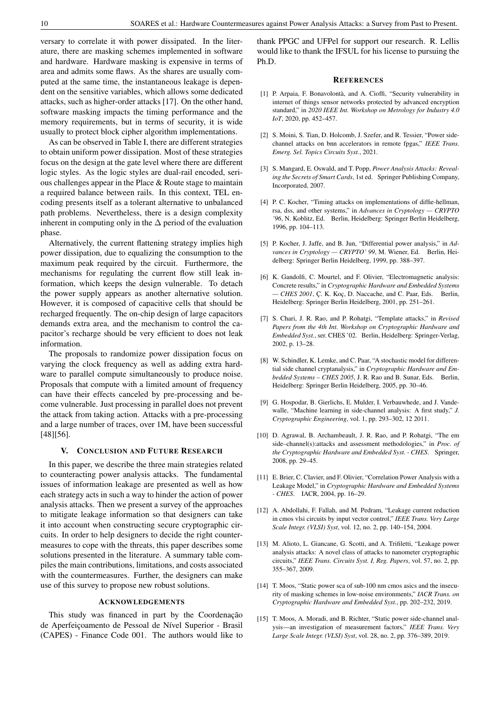versary to correlate it with power dissipated. In the literature, there are masking schemes implemented in software and hardware. Hardware masking is expensive in terms of area and admits some flaws. As the shares are usually computed at the same time, the instantaneous leakage is dependent on the sensitive variables, which allows some dedicated attacks, such as higher-order attacks [17]. On the other hand, software masking impacts the timing performance and the memory requirements, but in terms of security, it is wide usually to protect block cipher algorithm implementations.

As can be observed in Table I, there are different strategies to obtain uniform power dissipation. Most of these strategies focus on the design at the gate level where there are different logic styles. As the logic styles are dual-rail encoded, serious challenges appear in the Place & Route stage to maintain a required balance between rails. In this context, TEL encoding presents itself as a tolerant alternative to unbalanced path problems. Nevertheless, there is a design complexity inherent in computing only in the  $\Delta$  period of the evaluation phase.

Alternatively, the current flattening strategy implies high power dissipation, due to equalizing the consumption to the maximum peak required by the circuit. Furthermore, the mechanisms for regulating the current flow still leak information, which keeps the design vulnerable. To detach the power supply appears as another alternative solution. However, it is composed of capacitive cells that should be recharged frequently. The on-chip design of large capacitors demands extra area, and the mechanism to control the capacitor's recharge should be very efficient to does not leak information.

The proposals to randomize power dissipation focus on varying the clock frequency as well as adding extra hardware to parallel compute simultaneously to produce noise. Proposals that compute with a limited amount of frequency can have their effects canceled by pre-processing and become vulnerable. Just processing in parallel does not prevent the attack from taking action. Attacks with a pre-processing and a large number of traces, over 1M, have been successful [48][56].

### V. CONCLUSION AND FUTURE RESEARCH

In this paper, we describe the three main strategies related to counteracting power analysis attacks. The fundamental issues of information leakage are presented as well as how each strategy acts in such a way to hinder the action of power analysis attacks. Then we present a survey of the approaches to mitigate leakage information so that designers can take it into account when constructing secure cryptographic circuits. In order to help designers to decide the right countermeasures to cope with the threats, this paper describes some solutions presented in the literature. A summary table compiles the main contributions, limitations, and costs associated with the countermeasures. Further, the designers can make use of this survey to propose new robust solutions.

## ACKNOWLEDGEMENTS

This study was financed in part by the Coordenação de Aperfeiçoamento de Pessoal de Nível Superior - Brasil (CAPES) - Finance Code 001. The authors would like to thank PPGC and UFPel for support our research. R. Lellis would like to thank the IFSUL for his license to pursuing the Ph.D.

## **REFERENCES**

- [1] P. Arpaia, F. Bonavolontà, and A. Cioffi, "Security vulnerability in internet of things sensor networks protected by advanced encryption standard," in *2020 IEEE Int. Workshop on Metrology for Industry 4.0 IoT*, 2020, pp. 452–457.
- [2] S. Moini, S. Tian, D. Holcomb, J. Szefer, and R. Tessier, "Power sidechannel attacks on bnn accelerators in remote fpgas," *IEEE Trans. Emerg. Sel. Topics Circuits Syst.*, 2021.
- [3] S. Mangard, E. Oswald, and T. Popp, *Power Analysis Attacks: Revealing the Secrets of Smart Cards*, 1st ed. Springer Publishing Company, Incorporated, 2007.
- [4] P. C. Kocher, "Timing attacks on implementations of diffie-hellman, rsa, dss, and other systems," in *Advances in Cryptology — CRYPTO '96*, N. Koblitz, Ed. Berlin, Heidelberg: Springer Berlin Heidelberg, 1996, pp. 104–113.
- [5] P. Kocher, J. Jaffe, and B. Jun, "Differential power analysis," in *Ad*vances in Cryptology - CRYPTO' 99, M. Wiener, Ed. Berlin, Heidelberg: Springer Berlin Heidelberg, 1999, pp. 388–397.
- [6] K. Gandolfi, C. Mourtel, and F. Olivier, "Electromagnetic analysis: Concrete results," in *Cryptographic Hardware and Embedded Systems*  $-CHES 2001$ , C. K. Koç, D. Naccache, and C. Paar, Eds. Berlin, Heidelberg: Springer Berlin Heidelberg, 2001, pp. 251–261.
- [7] S. Chari, J. R. Rao, and P. Rohatgi, "Template attacks," in *Revised Papers from the 4th Int. Workshop on Cryptographic Hardware and Embedded Syst.*, ser. CHES '02. Berlin, Heidelberg: Springer-Verlag, 2002, p. 13–28.
- [8] W. Schindler, K. Lemke, and C. Paar, "A stochastic model for differential side channel cryptanalysis," in *Cryptographic Hardware and Embedded Systems – CHES 2005*, J. R. Rao and B. Sunar, Eds. Berlin, Heidelberg: Springer Berlin Heidelberg, 2005, pp. 30–46.
- [9] G. Hospodar, B. Gierlichs, E. Mulder, I. Verbauwhede, and J. Vandewalle, "Machine learning in side-channel analysis: A first study," *J. Cryptographic Engineering*, vol. 1, pp. 293–302, 12 2011.
- [10] D. Agrawal, B. Archambeault, J. R. Rao, and P. Rohatgi, "The em side–channel(s):attacks and assessment methodologies," in *Proc. of the Cryptographic Hardware and Embedded Syst. - CHES*. Springer, 2008, pp. 29–45.
- [11] E. Brier, C. Clavier, and F. Olivier, "Correlation Power Analysis with a Leakage Model," in *Cryptographic Hardware and Embedded Systems - CHES*. IACR, 2004, pp. 16–29.
- [12] A. Abdollahi, F. Fallah, and M. Pedram, "Leakage current reduction in cmos vlsi circuits by input vector control," *IEEE Trans. Very Large Scale Integr. (VLSI) Syst*, vol. 12, no. 2, pp. 140–154, 2004.
- [13] M. Alioto, L. Giancane, G. Scotti, and A. Trifiletti, "Leakage power analysis attacks: A novel class of attacks to nanometer cryptographic circuits," *IEEE Trans. Circuits Syst. I, Reg. Papers*, vol. 57, no. 2, pp. 355–367, 2009.
- [14] T. Moos, "Static power sca of sub-100 nm cmos asics and the insecurity of masking schemes in low-noise environments," *IACR Trans. on Cryptographic Hardware and Embedded Syst.*, pp. 202–232, 2019.
- [15] T. Moos, A. Moradi, and B. Richter, "Static power side-channel analysis—an investigation of measurement factors," *IEEE Trans. Very Large Scale Integr. (VLSI) Syst*, vol. 28, no. 2, pp. 376–389, 2019.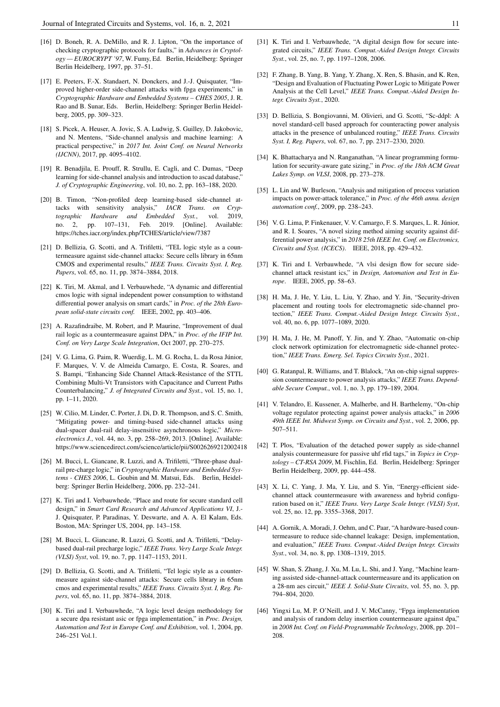- [16] D. Boneh, R. A. DeMillo, and R. J. Lipton, "On the importance of checking cryptographic protocols for faults," in *Advances in Cryptology — EUROCRYPT '97*, W. Fumy, Ed. Berlin, Heidelberg: Springer Berlin Heidelberg, 1997, pp. 37–51.
- [17] E. Peeters, F.-X. Standaert, N. Donckers, and J.-J. Quisquater, "Improved higher-order side-channel attacks with fpga experiments," in *Cryptographic Hardware and Embedded Systems – CHES 2005*, J. R. Rao and B. Sunar, Eds. Berlin, Heidelberg: Springer Berlin Heidelberg, 2005, pp. 309–323.
- [18] S. Picek, A. Heuser, A. Jovic, S. A. Ludwig, S. Guilley, D. Jakobovic, and N. Mentens, "Side-channel analysis and machine learning: A practical perspective," in *2017 Int. Joint Conf. on Neural Networks (IJCNN)*, 2017, pp. 4095–4102.
- [19] R. Benadjila, E. Prouff, R. Strullu, E. Cagli, and C. Dumas, "Deep learning for side-channel analysis and introduction to ascad database, *J. of Cryptographic Engineering*, vol. 10, no. 2, pp. 163–188, 2020.
- [20] B. Timon, "Non-profiled deep learning-based side-channel attacks with sensitivity analysis," *IACR Trans. on Cryptographic Hardware and Embedded Syst.*, vol. 2019, no. 2, pp. 107–131, Feb. 2019. [Online]. Available: https://tches.iacr.org/index.php/TCHES/article/view/7387
- [21] D. Bellizia, G. Scotti, and A. Trifiletti, "TEL logic style as a countermeasure against side-channel attacks: Secure cells library in 65nm CMOS and experimental results," *IEEE Trans. Circuits Syst. I, Reg. Papers*, vol. 65, no. 11, pp. 3874–3884, 2018.
- [22] K. Tiri, M. Akmal, and I. Verbauwhede, "A dynamic and differential cmos logic with signal independent power consumption to withstand differential power analysis on smart cards," in *Proc. of the 28th European solid-state circuits conf.* IEEE, 2002, pp. 403–406.
- [23] A. Razafindraibe, M. Robert, and P. Maurine, "Improvement of dual rail logic as a countermeasure against DPA," in *Proc. of the IFIP Int. Conf. on Very Large Scale Integration*, Oct 2007, pp. 270–275.
- [24] V. G. Lima, G. Paim, R. Wuerdig, L. M. G. Rocha, L. da Rosa Júnior, F. Marques, V. V. de Almeida Camargo, E. Costa, R. Soares, and S. Bampi, "Enhancing Side Channel Attack-Resistance of the STTL Combining Multi-Vt Transistors with Capacitance and Current Paths Counterbalancing," *J. of Integrated Circuits and Syst.*, vol. 15, no. 1, pp. 1–11, 2020.
- [25] W. Cilio, M. Linder, C. Porter, J. Di, D. R. Thompson, and S. C. Smith, "Mitigating power- and timing-based side-channel attacks using dual-spacer dual-rail delay-insensitive asynchronous logic," *Microelectronics J.*, vol. 44, no. 3, pp. 258–269, 2013. [Online]. Available: https://www.sciencedirect.com/science/article/pii/S0026269212002418
- [26] M. Bucci, L. Giancane, R. Luzzi, and A. Trifiletti, "Three-phase dualrail pre-charge logic," in *Cryptographic Hardware and Embedded Sys*tems - CHES 2006, L. Goubin and M. Matsui, Eds. Berlin, Heidelberg: Springer Berlin Heidelberg, 2006, pp. 232–241.
- [27] K. Tiri and I. Verbauwhede, "Place and route for secure standard cell design," in *Smart Card Research and Advanced Applications VI*, J.- J. Quisquater, P. Paradinas, Y. Deswarte, and A. A. El Kalam, Eds. Boston, MA: Springer US, 2004, pp. 143–158.
- [28] M. Bucci, L. Giancane, R. Luzzi, G. Scotti, and A. Trifiletti, "Delaybased dual-rail precharge logic," *IEEE Trans. Very Large Scale Integr. (VLSI) Syst*, vol. 19, no. 7, pp. 1147–1153, 2011.
- [29] D. Bellizia, G. Scotti, and A. Trifiletti, "Tel logic style as a countermeasure against side-channel attacks: Secure cells library in 65nm cmos and experimental results," *IEEE Trans. Circuits Syst. I, Reg. Papers*, vol. 65, no. 11, pp. 3874–3884, 2018.
- [30] K. Tiri and I. Verbauwhede, "A logic level design methodology for a secure dpa resistant asic or fpga implementation," in *Proc. Design, Automation and Test in Europe Conf. and Exhibition*, vol. 1, 2004, pp. 246–251 Vol.1.
- [31] K. Tiri and I. Verbauwhede, "A digital design flow for secure integrated circuits," *IEEE Trans. Comput.-Aided Design Integr. Circuits Syst.*, vol. 25, no. 7, pp. 1197–1208, 2006.
- [32] F. Zhang, B. Yang, B. Yang, Y. Zhang, X. Ren, S. Bhasin, and K. Ren, "Design and Evaluation of Fluctuating Power Logic to Mitigate Power Analysis at the Cell Level," *IEEE Trans. Comput.-Aided Design Integr. Circuits Syst.*, 2020.
- [33] D. Bellizia, S. Bongiovanni, M. Olivieri, and G. Scotti, "Sc-ddpl: A novel standard-cell based approach for counteracting power analysis attacks in the presence of unbalanced routing," *IEEE Trans. Circuits Syst. I, Reg. Papers*, vol. 67, no. 7, pp. 2317–2330, 2020.
- [34] K. Bhattacharya and N. Ranganathan, "A linear programming formulation for security-aware gate sizing," in *Proc. of the 18th ACM Great Lakes Symp. on VLSI*, 2008, pp. 273–278.
- [35] L. Lin and W. Burleson, "Analysis and mitigation of process variation impacts on power-attack tolerance," in *Proc. of the 46th annu. design automation conf.*, 2009, pp. 238–243.
- [36] V. G. Lima, P. Finkenauer, V. V. Camargo, F. S. Marques, L. R. Júnior, and R. I. Soares, "A novel sizing method aiming security against differential power analysis," in *2018 25th IEEE Int. Conf. on Electronics, Circuits and Syst. (ICECS)*. IEEE, 2018, pp. 429–432.
- [37] K. Tiri and I. Verbauwhede, "A vlsi design flow for secure sidechannel attack resistant ics," in *Design, Automation and Test in Europe*. IEEE, 2005, pp. 58–63.
- [38] H. Ma, J. He, Y. Liu, L. Liu, Y. Zhao, and Y. Jin, "Security-driven placement and routing tools for electromagnetic side-channel protection," *IEEE Trans. Comput.-Aided Design Integr. Circuits Syst.*, vol. 40, no. 6, pp. 1077–1089, 2020.
- [39] H. Ma, J. He, M. Panoff, Y. Jin, and Y. Zhao, "Automatic on-chip clock network optimization for electromagnetic side-channel protection," *IEEE Trans. Emerg. Sel. Topics Circuits Syst.*, 2021.
- [40] G. Ratanpal, R. Williams, and T. Blalock, "An on-chip signal suppression countermeasure to power analysis attacks," *IEEE Trans. Dependable Secure Comput.*, vol. 1, no. 3, pp. 179–189, 2004.
- [41] V. Telandro, E. Kussener, A. Malherbe, and H. Barthelemy, "On-chip voltage regulator protecting against power analysis attacks," in *2006 49th IEEE Int. Midwest Symp. on Circuits and Syst.*, vol. 2, 2006, pp. 507–511.
- [42] T. Plos, "Evaluation of the detached power supply as side-channel analysis countermeasure for passive uhf rfid tags," in *Topics in Cryptology – CT-RSA 2009*, M. Fischlin, Ed. Berlin, Heidelberg: Springer Berlin Heidelberg, 2009, pp. 444–458.
- [43] X. Li, C. Yang, J. Ma, Y. Liu, and S. Yin, "Energy-efficient sidechannel attack countermeasure with awareness and hybrid configuration based on it," *IEEE Trans. Very Large Scale Integr. (VLSI) Syst*, vol. 25, no. 12, pp. 3355–3368, 2017.
- [44] A. Gornik, A. Moradi, J. Oehm, and C. Paar, "A hardware-based countermeasure to reduce side-channel leakage: Design, implementation, and evaluation," *IEEE Trans. Comput.-Aided Design Integr. Circuits Syst.*, vol. 34, no. 8, pp. 1308–1319, 2015.
- [45] W. Shan, S. Zhang, J. Xu, M. Lu, L. Shi, and J. Yang, "Machine learning assisted side-channel-attack countermeasure and its application on a 28-nm aes circuit," *IEEE J. Solid-State Circuits*, vol. 55, no. 3, pp. 794–804, 2020.
- [46] Yingxi Lu, M. P. O'Neill, and J. V. McCanny, "Fpga implementation and analysis of random delay insertion countermeasure against dpa," in *2008 Int. Conf. on Field-Programmable Technology*, 2008, pp. 201– 208.